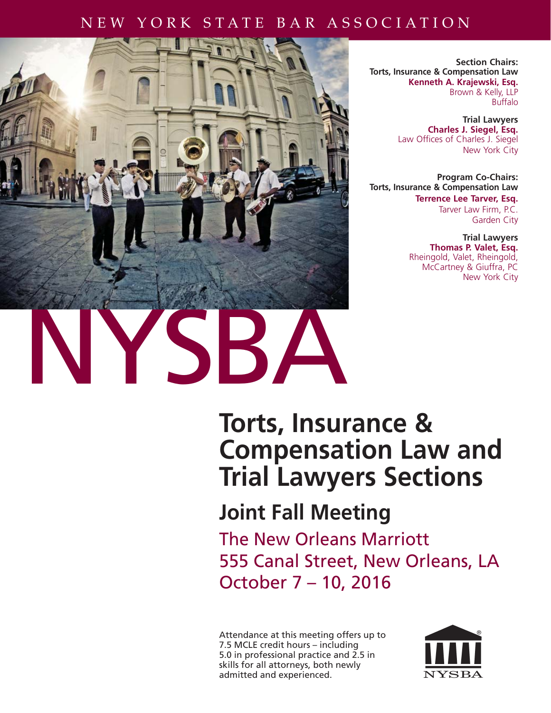### NEW YORK STATE BAR ASSOCIATION



**Section Chairs: Torts, Insurance & Compensation Law Kenneth A. Krajewski, Esq.** Brown & Kelly, LLP Buffalo

> **Trial Lawyers Charles J. Siegel, Esq.** Law Offices of Charles J. Siegel New York City

**Program Co-Chairs: Torts, Insurance & Compensation Law Terrence Lee Tarver, Esq.** Tarver Law Firm, P.C. Garden City

> **Trial Lawyers Thomas P. Valet, Esq.** Rheingold, Valet, Rheingold, McCartney & Giuffra, PC New York City

# **Torts, Insurance & Compensation Law and Trial Lawyers Sections**

# **Joint Fall Meeting**

The New Orleans Marriott 555 Canal Street, New Orleans, LA October 7 – 10, 2016

Attendance at this meeting offers up to 7.5 MCLE credit hours – including 5.0 in professional practice and 2.5 in skills for all attorneys, both newly admitted and experienced.

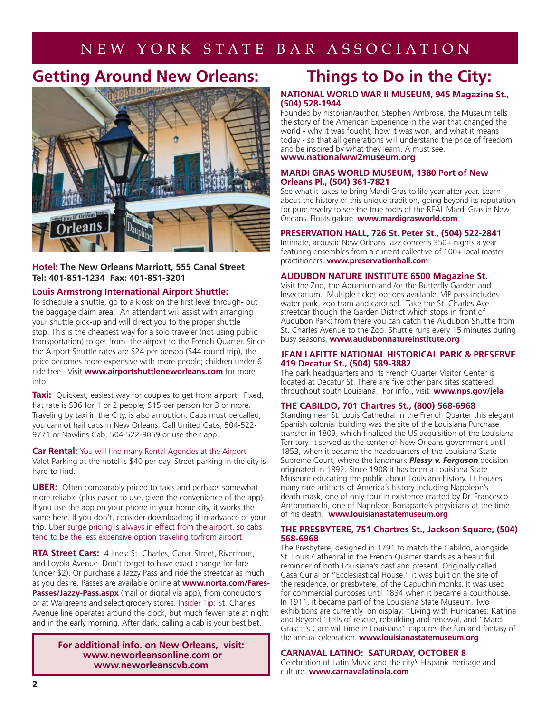### NEW YORK STATE BAR ASSOCIATION

### **Getting Around New Orleans:**



### **Hotel: The New Orleans Marriott, 555 Canal Street Tel: 401-851-1234 Fax: 401-851-3201**

### **Louis Armstrong International Airport Shuttle:**

To schedule a shuttle, go to a kiosk on the first level through- out the baggage claim area. An attendant will assist with arranging your shuttle pick-up and will direct you to the proper shuttle stop. This is the cheapest way for a solo traveler (not using public transportation) to get from the airport to the French Quarter. Since the Airport Shuttle rates are \$24 per person (\$44 round trip), the price becomes more expensive with more people; children under 6 ride free. Visit **www.airportshuttleneworleans.com** for more info.

**Taxi:** Quickest, easiest way for couples to get from airport. Fixed, flat rate is \$36 for 1 or 2 people; \$15 per person for 3 or more. Traveling by taxi in the City, is also an option. Cabs must be called; you cannot hail cabs in New Orleans. Call United Cabs, 504-522- 9771 or Nawlins Cab, 504-522-9059 or use their app.

**Car Rental:** You will find many Rental Agencies at the Airport. Valet Parking at the hotel is \$40 per day. Street parking in the city is hard to find.

**UBER:** Often comparably priced to taxis and perhaps somewhat more reliable (plus easier to use, given the convenience of the app). If you use the app on your phone in your home city, it works the same here. If you don't, consider downloading it in advance of your trip. Uber surge pricing is always in effect from the airport, so cabs tend to be the less expensive option traveling to/from airport.

**RTA Street Cars:** 4 lines: St. Charles, Canal Street, Riverfront, and Loyola Avenue. Don't forget to have exact change for fare (under \$2). Or purchase a Jazzy Pass and ride the streetcar as much as you desire. Passes are available online at **www.norta.com/Fares-**Passes/Jazzy-Pass.aspx (mail or digital via app), from conductors or at Walgreens and select grocery stores. Insider Tip: St. Charles Avenue line operates around the clock, but much fewer late at night and in the early morning. After dark, calling a cab is your best bet.

> **For additional info. on New Orleans, visit: www.neworleansonline.com or www.neworleanscvb.com**

### **Things to Do in the City:**

### **NATIONAL WORLD WAR II MUSEUM, 945 Magazine St., (504) 528-1944**

Founded by historian/author, Stephen Ambrose, the Museum tells the story of the American Experience in the war that changed the world - why it was fought, how it was won, and what it means today - so that all generations will understand the price of freedom and be inspired by what they learn. A must see. **www.nationalww2museum.org**

### **MARDI GRAS WORLD MUSEUM, 1380 Port of New Orleans Pl., (504) 361-7821**

See what it takes to bring Mardi Gras to life year after year. Learn about the history of this unique tradition, going beyond its reputation for pure revelry to see the true roots of the REAL Mardi Gras in New Orleans. Floats galore. **www.mardigrasworld.com**

### **PRESERVATION HALL, 726 St. Peter St., (504) 522-2841**

Intimate, acoustic New Orleans Jazz concerts 350+ nights a year featuring ensembles from a current collective of 100+ local master practitioners. **www.preservationhall.com**

### **AUDUBON NATURE INSTITUTE 6500 Magazine St.**

Visit the Zoo, the Aquarium and /or the Butterfly Garden and Insectarium. Multiple ticket options available. VIP pass includes water park, zoo tram and carousel. Take the St. Charles Ave. streetcar though the Garden District which stops in front of Audubon Park: from there you can catch the Audubon Shuttle from St. Charles Avenue to the Zoo. Shuttle runs every 15 minutes during busy seasons. **www.audubonnatureinstitute.org**

#### **JEAN LAFITTE NATIONAL HISTORICAL PARK & PRESERVE 419 Decatur St., (504) 589-3882**

The park headquarters and its French Quarter Visitor Center is located at Decatur St. There are five other park sites scattered throughout south Louisiana. For info., visit: **www.nps.gov/jela** 

### **THE CABILDO, 701 Chartres St., (800) 568-6968**

Standing near St. Louis Cathedral in the French Quarter this elegant Spanish colonial building was the site of the Louisiana Purchase transfer in 1803, which finalized the US acquisition of the Louisiana Territory. It served as the center of New Orleans government until 1853, when it became the headquarters of the Louisiana State Supreme Court, where the landmark *Plessy v. Ferguson* decision originated in 1892. SInce 1908 it has been a Louisiana State Museum educating the public about Louisiana history. I t houses many rare artifacts of America's history including Napoleon's death mask, one of only four in existence crafted by Dr. Francesco Antommarchi, one of Napoleon Bonaparte's physicians at the time of his death. **www.louisianastatemuseum.org**

### **THE PRESBYTERE, 751 Chartres St., Jackson Square, (504) 568-6968**

The Presbytere, designed in 1791 to match the Cabildo, alongside St. Louis Cathedral in the French Quarter stands as a beautiful reminder of both Louisiana's past and present. Originally called Casa Curial or "Ecclesiastical House," it was built on the site of the residence, or presbytere, of the Capuchin monks. It was used for commercial purposes until 1834 when it became a courthouse. In 1911, it became part of the Louisiana State Museum. Two exhibitions are currently on display: "Living with Hurricanes: Katrina and Beyond" tells of rescue, rebuilding and renewal, and "Mardi Gras: It's Carnival Time in Louisiana" captures the fun and fantasy of the annual celebration. **www.louisianastatemuseum.org**

### **CARNAVAL LATINO: SATURDAY, OCTOBER 8**

Celebration of Latin Music and the city's Hispanic heritage and culture. **www.carnavalatinola.com**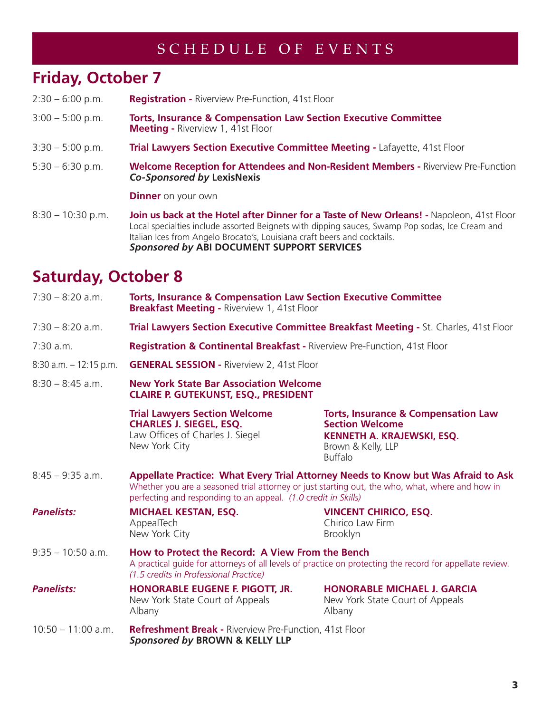### SCHEDULE OF EVENTS

### **Friday, October 7**

- 2:30 6:00 p.m. **Registration** Riverview Pre-Function, 41st Floor
- 3:00 5:00 p.m. **Torts, Insurance & Compensation Law Section Executive Committee Meeting -** Riverview 1, 41st Floor
- 3:30 5:00 p.m. **Trial Lawyers Section Executive Committee Meeting** Lafayette, 41st Floor
- 5:30 6:30 p.m. **Welcome Reception for Attendees and Non-Resident Members** Riverview Pre-Function *Co-Sponsored by* **LexisNexis**

**Dinner** on your own

8:30 – 10:30 p.m. **Join us back at the Hotel after Dinner for a Taste of New Orleans! -** Napoleon, 41st Floor Local specialties include assorted Beignets with dipping sauces, Swamp Pop sodas, Ice Cream and Italian Ices from Angelo Brocato's, Louisiana craft beers and cocktails. *Sponsored by* **ABI DOCUMENT SUPPORT SERVICES**

## **Saturday, October 8**

| $7:30 - 8:20$ a.m.        | <b>Torts, Insurance &amp; Compensation Law Section Executive Committee</b><br><b>Breakfast Meeting - Riverview 1, 41st Floor</b>                                                                                                                       |                                                                                                                                                |  |
|---------------------------|--------------------------------------------------------------------------------------------------------------------------------------------------------------------------------------------------------------------------------------------------------|------------------------------------------------------------------------------------------------------------------------------------------------|--|
| $7:30 - 8:20$ a.m.        | Trial Lawyers Section Executive Committee Breakfast Meeting - St. Charles, 41st Floor                                                                                                                                                                  |                                                                                                                                                |  |
| 7:30 a.m.                 | <b>Registration &amp; Continental Breakfast - Riverview Pre-Function, 41st Floor</b>                                                                                                                                                                   |                                                                                                                                                |  |
| $8:30$ a.m. $-12:15$ p.m. | <b>GENERAL SESSION - Riverview 2, 41st Floor</b>                                                                                                                                                                                                       |                                                                                                                                                |  |
| $8:30 - 8:45$ a.m.        | <b>New York State Bar Association Welcome</b><br><b>CLAIRE P. GUTEKUNST, ESQ., PRESIDENT</b>                                                                                                                                                           |                                                                                                                                                |  |
|                           | <b>Trial Lawyers Section Welcome</b><br><b>CHARLES J. SIEGEL, ESQ.</b><br>Law Offices of Charles J. Siegel<br>New York City                                                                                                                            | <b>Torts, Insurance &amp; Compensation Law</b><br><b>Section Welcome</b><br>KENNETH A. KRAJEWSKI, ESQ.<br>Brown & Kelly, LLP<br><b>Buffalo</b> |  |
| $8:45 - 9:35$ a.m.        | Appellate Practice: What Every Trial Attorney Needs to Know but Was Afraid to Ask<br>Whether you are a seasoned trial attorney or just starting out, the who, what, where and how in<br>perfecting and responding to an appeal. (1.0 credit in Skills) |                                                                                                                                                |  |
| <b>Panelists:</b>         | <b>MICHAEL KESTAN, ESQ.</b><br>AppealTech<br>New York City                                                                                                                                                                                             | <b>VINCENT CHIRICO, ESQ.</b><br>Chirico Law Firm<br><b>Brooklyn</b>                                                                            |  |
| $9:35 - 10:50$ a.m.       | How to Protect the Record: A View From the Bench<br>A practical quide for attorneys of all levels of practice on protecting the record for appellate review.<br>(1.5 credits in Professional Practice)                                                 |                                                                                                                                                |  |
| <b>Panelists:</b>         | <b>HONORABLE EUGENE F. PIGOTT, JR.</b><br>New York State Court of Appeals<br>Albany                                                                                                                                                                    | <b>HONORABLE MICHAEL J. GARCIA</b><br>New York State Court of Appeals<br>Albany                                                                |  |
| $10:50 - 11:00$ a.m.      | <b>Refreshment Break - Riverview Pre-Function, 41st Floor</b><br>Sponsored by BROWN & KELLY LLP                                                                                                                                                        |                                                                                                                                                |  |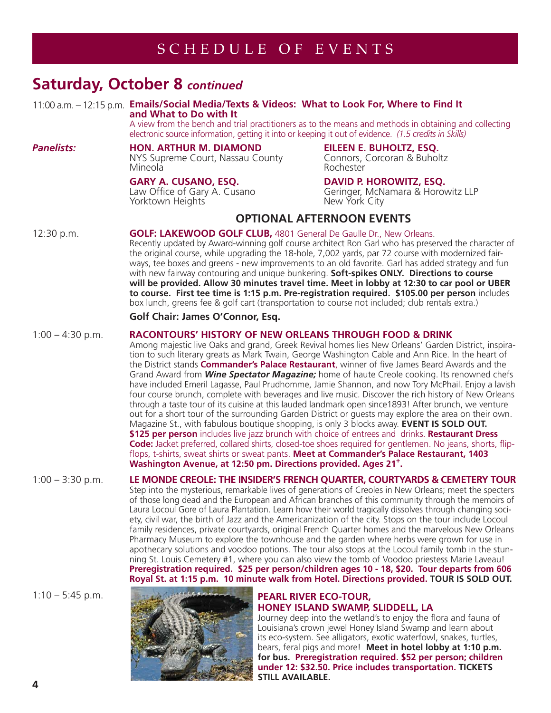### **Saturday, October 8** *continued*

### 11:00 a.m. – 12:15 p.m. **Emails/Social Media/Texts & Videos: What to Look For, Where to Find It and What to Do with It**

A view from the bench and trial practitioners as to the means and methods in obtaining and collecting electronic source information, getting it into or keeping it out of evidence. *(1.5 credits in Skills)*

### *Panelists:* **HON. ARTHUR M. DIAMOND EILEEN E. BUHOLTZ, ESQ.** NYS Supreme Court, Nassau County<br>Mineola

**GARY A. CUSANO, ESQ. DAVID P. HOROWITZ, ESQ.**<br>Law Office of Gary A. Cusano Geringer, McNamara & Horov Yorktown Heights New York City

MineolaRochester

Geringer, McNamara & Horowitz LLP

### **OPTIONAL AFTERNOON EVENTS**

### 12:30 p.m. **GOLF: LAKEWOOD GOLF CLUB,** 4801 General De Gaulle Dr., New Orleans.

 Recently updated by Award-winning golf course architect Ron Garl who has preserved the character of the original course, while upgrading the 18-hole, 7,002 yards, par 72 course with modernized fair ways, tee boxes and greens - new improvements to an old favorite. Garl has added strategy and fun with new fairway contouring and unique bunkering. **Soft-spikes ONLY. Directions to course will be provided. Allow 30 minutes travel time. Meet in lobby at 12:30 to car pool or UBER to course. First tee time is 1:15 p.m. Pre-registration required.****\$105.00 per person** includes box lunch, greens fee & golf cart (transportation to course not included; club rentals extra.)

### **Golf Chair: James O'Connor, Esq.**

### 1:00 – 4:30 p.m. **RACONTOURS' HISTORY OF NEW ORLEANS THROUGH FOOD & DRINK**

Among majestic live Oaks and grand, Greek Revival homes lies New Orleans' Garden District, inspira tion to such literary greats as Mark Twain, George Washington Cable and Ann Rice. In the heart of the District stands **Commander's Palace Restaurant**, winner of five James Beard Awards and the Grand Award from *Wine Spectator Magazine;* home of haute Creole cooking. Its renowned chefs have included Emeril Lagasse, Paul Prudhomme, Jamie Shannon, and now Tory McPhail. Enjoy a lavish four course brunch, complete with beverages and live music. Discover the rich history of New Orleans through a taste tour of its cuisine at this lauded landmark open since1893! After brunch, we venture out for a short tour of the surrounding Garden District or guests may explore the area on their own. Magazine St., with fabulous boutique shopping, is only 3 blocks away. **EVENT IS SOLD OUT. \$125 per person** includes live jazz brunch with choice of entrees and drinks. **Restaurant Dress Code:** Jacket preferred, collared shirts, closed-toe shoes required for gentlemen. No jeans, shorts, flipflops, t-shirts, sweat shirts or sweat pants. **Meet at Commander's Palace Restaurant, 1403** Washington Avenue, at 12:50 pm. Directions provided. Ages 21<sup>+</sup>.

### 1:00 – 3:30 p.m. **LE MONDE CREOLE: THE INSIDER'S FRENCH QUARTER, COURTYARDS & CEMETERY TOUR**  Step into the mysterious, remarkable lives of generations of Creoles in New Orleans; meet the specters of those long dead and the European and African branches of this community through the memoirs of Laura Locoul Gore of Laura Plantation. Learn how their world tragically dissolves through changing society, civil war, the birth of Jazz and the Americanization of the city. Stops on the tour include Locoul family residences, private courtyards, original French Quarter homes and the marvelous New Orleans Pharmacy Museum to explore the townhouse and the garden where herbs were grown for use in apothecary solutions and voodoo potions. The tour also stops at the Locoul family tomb in the stun ning St. Louis Cemetery #1, where you can also view the tomb of Voodoo priestess Marie Laveau! **Preregistration required. \$25 per person/children ages 10 - 18, \$20. Tour departs from 606 Royal St. at 1:15 p.m. 10 minute walk from Hotel. Directions provided. TOUR IS SOLD OUT.**



# **HONEY ISLAND SWAMP, SLIDDELL, LA**

Journey deep into the wetland's to enjoy the flora and fauna of Louisiana's crown jewel Honey Island Swamp and learn about its eco-system. See alligators, exotic waterfowl, snakes, turtles, bears, feral pigs and more! **Meet in hotel lobby at 1:10 p.m. for bus. Preregistration required. \$52 per person; children under 12: \$32.50. Price includes transportation. TICKETS STILL AVAILABLE.**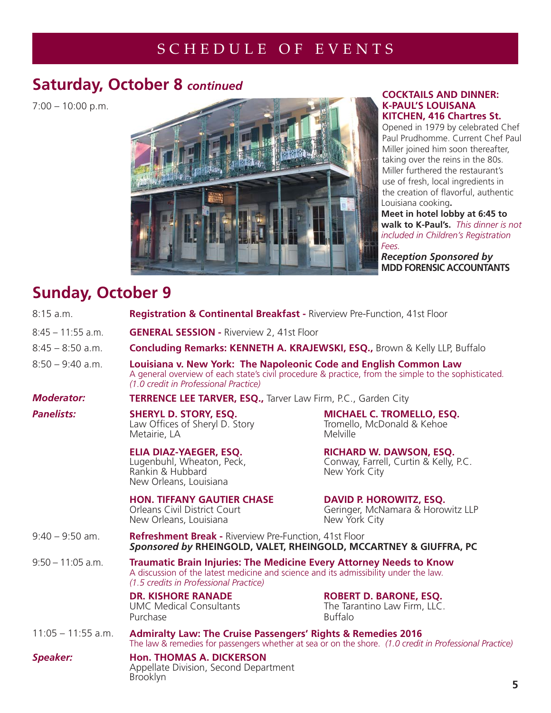### SCHEDULE OF EVENTS

### **Saturday, October 8** *continued*

7:00 – 10:00 p.m.



### **COCKTAILS AND DINNER: K-PAUL'S LOUISANA KITCHEN, 416 Chartres St.**

Opened in 1979 by celebrated Chef Paul Prudhomme. Current Chef Paul Miller joined him soon thereafter, taking over the reins in the 80s. Miller furthered the restaurant's use of fresh, local ingredients in the creation of flavorful, authentic Louisiana cooking**.** 

**Meet in hotel lobby at 6:45 to walk to K-Paul's.** *This dinner is not included in Children's Registration Fees.*

*Reception Sponsored by* **MDD FORENSIC ACCOUNTANTS**

## **Sunday, October 9**

| 8:15a.m.             | Registration & Continental Breakfast - Riverview Pre-Function, 41st Floor                                                                                                                                          |                                                                                          |   |
|----------------------|--------------------------------------------------------------------------------------------------------------------------------------------------------------------------------------------------------------------|------------------------------------------------------------------------------------------|---|
| $8:45 - 11:55$ a.m.  | <b>GENERAL SESSION - Riverview 2, 41st Floor</b>                                                                                                                                                                   |                                                                                          |   |
| $8:45 - 8:50$ a.m.   | Concluding Remarks: KENNETH A. KRAJEWSKI, ESQ., Brown & Kelly LLP, Buffalo                                                                                                                                         |                                                                                          |   |
| $8:50 - 9:40$ a.m.   | Louisiana v. New York: The Napoleonic Code and English Common Law<br>A general overview of each state's civil procedure & practice, from the simple to the sophisticated.<br>(1.0 credit in Professional Practice) |                                                                                          |   |
| <b>Moderator:</b>    | <b>TERRENCE LEE TARVER, ESQ., Tarver Law Firm, P.C., Garden City</b>                                                                                                                                               |                                                                                          |   |
| <b>Panelists:</b>    | <b>SHERYL D. STORY, ESQ.</b><br>Law Offices of Sheryl D. Story<br>Metairie, LA                                                                                                                                     | <b>MICHAEL C. TROMELLO, ESQ.</b><br>Tromello, McDonald & Kehoe<br>Melville               |   |
|                      | ELIA DIAZ-YAEGER, ESQ.<br>Lugenbuhl, Wheaton, Peck,<br>Rankin & Hubbard<br>New Orleans, Louisiana                                                                                                                  | <b>RICHARD W. DAWSON, ESQ.</b><br>Conway, Farrell, Curtin & Kelly, P.C.<br>New York City |   |
|                      | <b>HON. TIFFANY GAUTIER CHASE</b><br><b>Orleans Civil District Court</b><br>New Orleans, Louisiana                                                                                                                 | <b>DAVID P. HOROWITZ, ESQ.</b><br>Geringer, McNamara & Horowitz LLP<br>New York City     |   |
| $9:40 - 9:50$ am.    | <b>Refreshment Break - Riverview Pre-Function, 41st Floor</b><br>Sponsored by RHEINGOLD, VALET, RHEINGOLD, MCCARTNEY & GIUFFRA, PC                                                                                 |                                                                                          |   |
| $9:50 - 11:05$ a.m.  | <b>Traumatic Brain Injuries: The Medicine Every Attorney Needs to Know</b><br>A discussion of the latest medicine and science and its admissibility under the law.<br>(1.5 credits in Professional Practice)       |                                                                                          |   |
|                      | <b>DR. KISHORE RANADE</b><br><b>UMC Medical Consultants</b><br>Purchase                                                                                                                                            | <b>ROBERT D. BARONE, ESQ.</b><br>The Tarantino Law Firm, LLC.<br><b>Buffalo</b>          |   |
| $11:05 - 11:55$ a.m. | <b>Admiralty Law: The Cruise Passengers' Rights &amp; Remedies 2016</b><br>The law & remedies for passengers whether at sea or on the shore. (1.0 credit in Professional Practice)                                 |                                                                                          |   |
| <b>Speaker:</b>      | <b>Hon. THOMAS A. DICKERSON</b><br>Appellate Division, Second Department<br><b>Brooklyn</b>                                                                                                                        |                                                                                          | 5 |
|                      |                                                                                                                                                                                                                    |                                                                                          |   |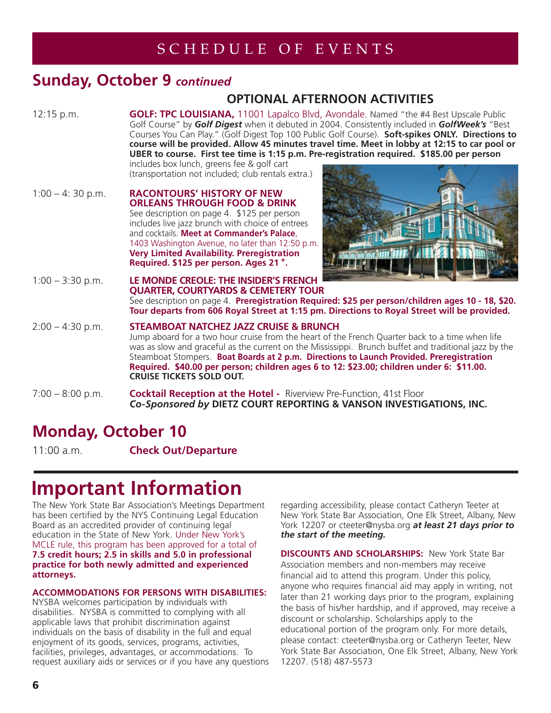### SCHEDULE OF EVENTS

### **Sunday, October 9** *continued*

### **OPTIONAL AFTERNOON ACTIVITIES**

12:15 p.m. **GOLF: TPC LOUISIANA,** 11001 Lapalco Blvd, Avondale. Named "the #4 Best Upscale Public Golf Course" by *Golf Digest* when it debuted in 2004. Consistently included in *GolfWeek's* "Best Courses You Can Play." (Golf Digest Top 100 Public Golf Course). **Soft-spikes ONLY. Directions to course will be provided. Allow 45 minutes travel time. Meet in lobby at 12:15 to car pool or UBER to course. First tee time is 1:15 p.m. Pre-registration required.****\$185.00 per person** includes box lunch, greens fee & golf cart

(transportation not included; club rentals extra.)

1:00 – 4: 30 p.m. **RACONTOURS' HISTORY OF NEW ORLEANS THROUGH FOOD & DRINK** See description on page 4. \$125 per person includes live jazz brunch with choice of entrees and cocktails. **Meet at Commander's Palace**, 1403 Washington Avenue, no later than 12:50 p.m. **Very Limited Availability. Preregistration Required. \$125 per person. Ages 21 +.**



1:00 – 3:30 p.m. **LE MONDE CREOLE: THE INSIDER'S FRENCH QUARTER, COURTYARDS & CEMETERY TOUR** See description on page 4. **Preregistration Required: \$25 per person/children ages 10 - 18, \$20. Tour departs from 606 Royal Street at 1:15 pm. Directions to Royal Street will be provided.** 2:00 – 4:30 p.m. **STEAMBOAT NATCHEZ JAZZ CRUISE & BRUNCH** Jump aboard for a two hour cruise from the heart of the French Quarter back to a time when life

 was as slow and graceful as the current on the Mississippi. Brunch buffet and traditional jazz by the Steamboat Stompers. **Boat Boards at 2 p.m. Directions to Launch Provided. Preregistration Required. \$40.00 per person; children ages 6 to 12: \$23.00; children under 6: \$11.00. CRUISE TICKETS SOLD OUT.**

7:00 – 8:00 p.m. **Cocktail Reception at the Hotel -** Riverview Pre-Function, 41st Floor *Co-Sponsored by* **DIETZ COURT REPORTING & VANSON INVESTIGATIONS, INC.**

## **Monday, October 10**

11:00 a.m. **Check Out/Departure** 

# **Important Information**

The New York State Bar Association's Meetings Department has been certified by the NYS Continuing Legal Education Board as an accredited provider of continuing legal education in the State of New York. Under New York's MCLE rule, this program has been approved for a total of **7.5 credit hours; 2.5 in skills and 5.0 in professional practice for both newly admitted and experienced attorneys.** 

### **ACCOMMODATIONS FOR PERSONS WITH DISABILITIES:**

NYSBA welcomes participation by individuals with disabilities. NYSBA is committed to complying with all applicable laws that prohibit discrimination against individuals on the basis of disability in the full and equal enjoyment of its goods, services, programs, activities, facilities, privileges, advantages, or accommodations. To request auxiliary aids or services or if you have any questions regarding accessibility, please contact Catheryn Teeter at New York State Bar Association, One Elk Street, Albany, New York 12207 or cteeter@nysba.org *at least 21 days prior to the start of the meeting.*

**DISCOUNTS AND SCHOLARSHIPS:** New York State Bar Association members and non-members may receive financial aid to attend this program. Under this policy, anyone who requires financial aid may apply in writing, not later than 21 working days prior to the program, explaining the basis of his/her hardship, and if approved, may receive a discount or scholarship. Scholarships apply to the educational portion of the program only. For more details, please contact: cteeter@nysba.org or Catheryn Teeter, New York State Bar Association, One Elk Street, Albany, New York 12207. (518) 487-5573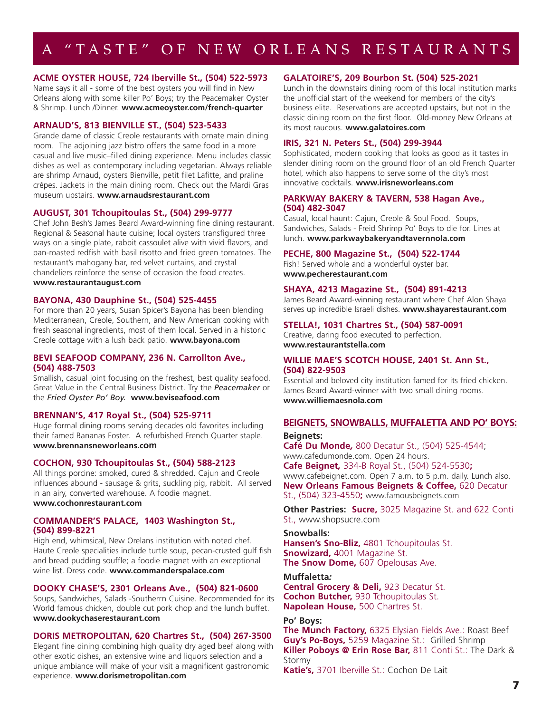## A "TASTE" OF NEW ORLEANS RESTAURANTS

### **ACME OYSTER HOUSE, 724 Iberville St., (504) 522-5973**

Name says it all - some of the best oysters you will find in New Orleans along with some killer Po' Boys; try the Peacemaker Oyster & Shrimp. Lunch /Dinner. **www.acmeoyster.com/french-quarter**

### **ARNAUD'S, 813 BIENVILLE ST., (504) 523-5433**

Grande dame of classic Creole restaurants with ornate main dining room. The adjoining jazz bistro offers the same food in a more casual and live music–filled dining experience. Menu includes classic dishes as well as contemporary including vegetarian. Always reliable are shrimp Arnaud, oysters Bienville, petit filet Lafitte, and praline crêpes. Jackets in the main dining room. Check out the Mardi Gras museum upstairs. **www.arnaudsrestaurant.com**

### **AUGUST, 301 Tchoupitoulas St., (504) 299-9777**

Chef John Besh's James Beard Award-winning fine dining restaurant. Regional & Seasonal haute cuisine; local oysters transfigured three ways on a single plate, rabbit cassoulet alive with vivid flavors, and pan-roasted redfish with basil risotto and fried green tomatoes. The restaurant's mahogany bar, red velvet curtains, and crystal chandeliers reinforce the sense of occasion the food creates. **www.restaurantaugust.com**

#### **BAYONA, 430 Dauphine St., (504) 525-4455**

For more than 20 years, Susan Spicer's Bayona has been blending Mediterranean, Creole, Southern, and New American cooking with fresh seasonal ingredients, most of them local. Served in a historic Creole cottage with a lush back patio. **www.bayona.com**

### **BEVI SEAFOOD COMPANY, 236 N. Carrollton Ave., (504) 488-7503**

Smallish, casual joint focusing on the freshest, best quality seafood. Great Value in the Central Business District. Try the *Peacemaker* or the *Fried Oyster Po' Boy.* **www.beviseafood.com**

### **BRENNAN'S, 417 Royal St., (504) 525-9711**

Huge formal dining rooms serving decades old favorites including their famed Bananas Foster. A refurbished French Quarter staple. **www.brennansneworleans.com**

#### **COCHON, 930 Tchoupitoulas St., (504) 588-2123**

All things porcine: smoked, cured & shredded. Cajun and Creole influences abound - sausage & grits, suckling pig, rabbit. All served in an airy, converted warehouse. A foodie magnet. **www.cochonrestaurant.com**

### **COMMANDER'S PALACE, 1403 Washington St., (504) 899-8221**

High end, whimsical, New Orelans institution with noted chef. Haute Creole specialities include turtle soup, pecan-crusted gulf fish and bread pudding souffle; a foodie magnet with an exceptional wine list. Dress code. **www.commanderspalace.com**

### **DOOKY CHASE'S, 2301 Orleans Ave., (504) 821-0600**

Soups, Sandwiches, Salads -Southerrn Cuisine. Recommended for its World famous chicken, double cut pork chop and the lunch buffet. **www.dookychaserestaurant.com**

#### **DORIS METROPOLITAN, 620 Chartres St., (504) 267-3500**

Elegant fine dining combining high quality dry aged beef along with other exotic dishes, an extensive wine and liquors selection and a unique ambiance will make of your visit a magnificent gastronomic experience. **www.dorismetropolitan.com**

### **GALATOIRE'S, 209 Bourbon St. (504) 525-2021**

Lunch in the downstairs dining room of this local institution marks the unofficial start of the weekend for members of the city's business elite. Reservations are accepted upstairs, but not in the classic dining room on the first floor. Old-money New Orleans at its most raucous. **www.galatoires.com** 

### **IRIS, 321 N. Peters St., (504) 299-3944**

Sophisticated, modern cooking that looks as good as it tastes in slender dining room on the ground floor of an old French Quarter hotel, which also happens to serve some of the city's most innovative cocktails. **www.irisneworleans.com** 

### **PARKWAY BAKERY & TAVERN, 538 Hagan Ave., (504) 482-3047**

Casual, local haunt: Cajun, Creole & Soul Food. Soups, Sandwiches, Salads - Freid Shrimp Po' Boys to die for. Lines at lunch. **www.parkwaybakeryandtavernnola.com**

#### **PECHE, 800 Magazine St., (504) 522-1744**

Fish! Served whole and a wonderful oyster bar. **www.pecherestaurant.com**

#### **SHAYA, 4213 Magazine St., (504) 891-4213**

James Beard Award-winning restaurant where Chef Alon Shaya serves up incredible Israeli dishes. **www.shayarestaurant.com** 

#### **STELLA!, 1031 Chartres St., (504) 587-0091**

Creative, daring food executed to perfection. **www.restaurantstella.com**

#### **WILLIE MAE'S SCOTCH HOUSE, 2401 St. Ann St., (504) 822-9503**

Essential and beloved city institution famed for its fried chicken. James Beard Award-winner with two small dining rooms. **www.williemaesnola.com**

#### **BEIGNETS, SNOWBALLS, MUFFALETTA AND PO' BOYS:**

#### **Beignets:**

**Café Du Monde***,* 800 Decatur St., (504) 525-4544; www.cafedumonde.com. Open 24 hours. **Cafe Beignet***,* 334-B Royal St., (504) 524-5530**;**  www.cafebeignet.com. Open 7 a.m. to 5 p.m. daily. Lunch also. **New Orleans Famous Beignets & Coffee,** 620 Decatur St., (504) 323-4550**;** www.famousbeignets.com

**Other Pastries: Sucre,** 3025 Magazine St. and 622 Conti St., www.shopsucre.com

#### **Snowballs:**

**Hansen's Sno-Bliz,** 4801 Tchoupitoulas St. **Snowizard,** 4001 Magazine St. **The Snow Dome,** 607 Opelousas Ave.

#### **Muffaletta***:*

**Central Grocery & Deli,** 923 Decatur St. **Cochon Butcher,** 930 Tchoupitoulas St. **Napolean House,** 500 Chartres St.

#### **Po' Boys:**

**The Munch Factory,** 6325 Elysian Fields Ave.: Roast Beef **Guy's Po-Boys,** 5259 Magazine St.: Grilled Shrimp **Killer Poboys @ Erin Rose Bar,** 811 Conti St.: The Dark & Stormy

**Katie's,** 3701 Iberville St.: Cochon De Lait